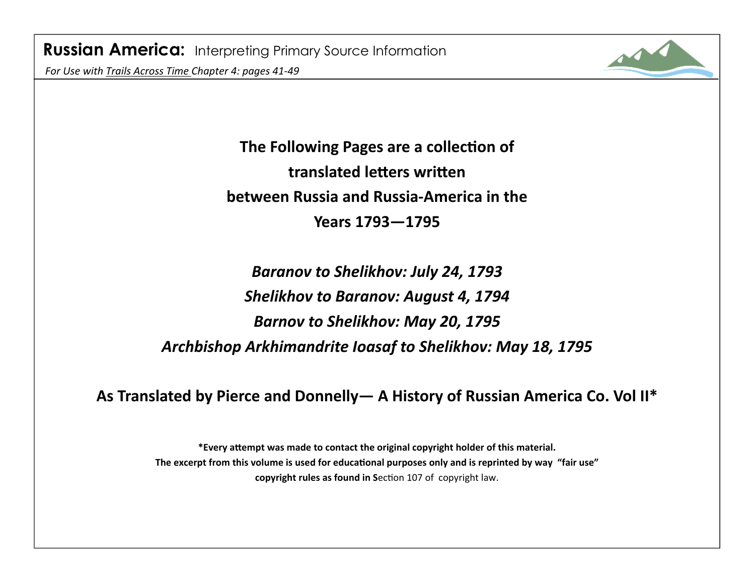

**The Following Pages are a collection of translated leƩers wriƩen between Russia and Russia‐America in the Years 1793—1795** 

*Baranov to Shelikhov: July 24, 1793 Shelikhov to Baranov: August 4, 1794 Barnov to Shelikhov: May 20, 1795 Archbishop Arkhimandrite Ioasaf to Shelikhov: May 18, 1795*

**As Translated by Pierce and Donnelly— A History of Russian America Co. Vol II\*** 

**\*Every aƩempt was made to contact the original copyright holder of this material.**  The excerpt from this volume is used for educational purposes only and is reprinted by way "fair use" **copyright rules as found in Section 107 of copyright law.**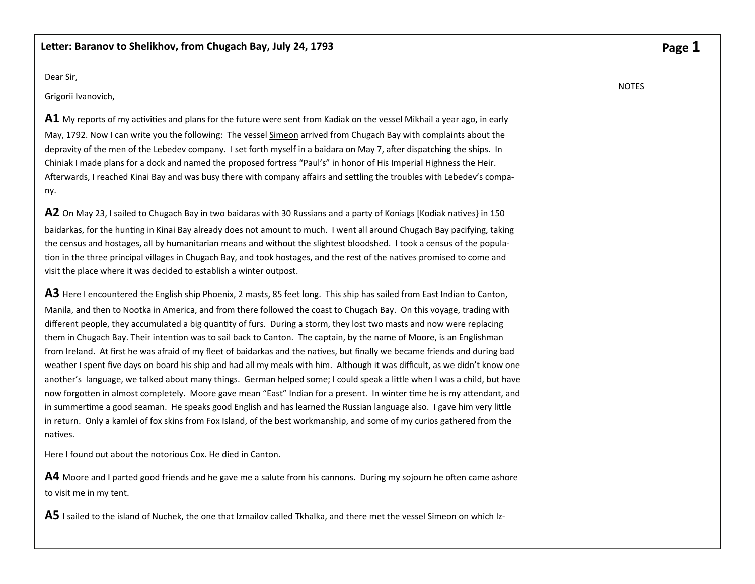Dear Sir,

Grigorii Ivanovich,

**A1** My reports of my activities and plans for the future were sent from Kadiak on the vessel Mikhail a year ago, in early May, 1792. Now I can write you the following: The vessel Simeon arrived from Chugach Bay with complaints about the depravity of the men of the Lebedev company. I set forth myself in a baidara on May 7, after dispatching the ships. In Chiniak I made plans for a dock and named the proposed fortress "Paul's" in honor of His Imperial Highness the Heir. Afterwards, I reached Kinai Bay and was busy there with company affairs and settling the troubles with Lebedev's company.

**A2** On May 23, I sailed to Chugach Bay in two baidaras with 30 Russians and a party of Koniags [Kodiak natives] in 150 baidarkas, for the hunting in Kinai Bay already does not amount to much. I went all around Chugach Bay pacifying, taking the census and hostages, all by humanitarian means and without the slightest bloodshed. I took a census of the population in the three principal villages in Chugach Bay, and took hostages, and the rest of the natives promised to come and visit the place where it was decided to establish a winter outpost.

**A3** Here I encountered the English ship Phoenix, 2 masts, 85 feet long. This ship has sailed from East Indian to Canton, Manila, and then to Nootka in America, and from there followed the coast to Chugach Bay. On this voyage, trading with different people, they accumulated a big quantity of furs. During a storm, they lost two masts and now were replacing them in Chugach Bay. Their intention was to sail back to Canton. The captain, by the name of Moore, is an Englishman from Ireland. At first he was afraid of my fleet of baidarkas and the natives, but finally we became friends and during bad weather I spent five days on board his ship and had all my meals with him. Although it was difficult, as we didn't know one another's language, we talked about many things. German helped some; I could speak a little when I was a child, but have now forgotten in almost completely. Moore gave mean "East" Indian for a present. In winter time he is my attendant, and in summertime a good seaman. He speaks good English and has learned the Russian language also. I gave him very little in return. Only a kamlei of fox skins from Fox Island, of the best workmanship, and some of my curios gathered from the naƟves.

Here I found out about the notorious Cox. He died in Canton.

A4 Moore and I parted good friends and he gave me a salute from his cannons. During my sojourn he often came ashore to visit me in my tent.

A5 I sailed to the island of Nuchek, the one that Izmailov called Tkhalka, and there met the vessel Simeon on which Iz-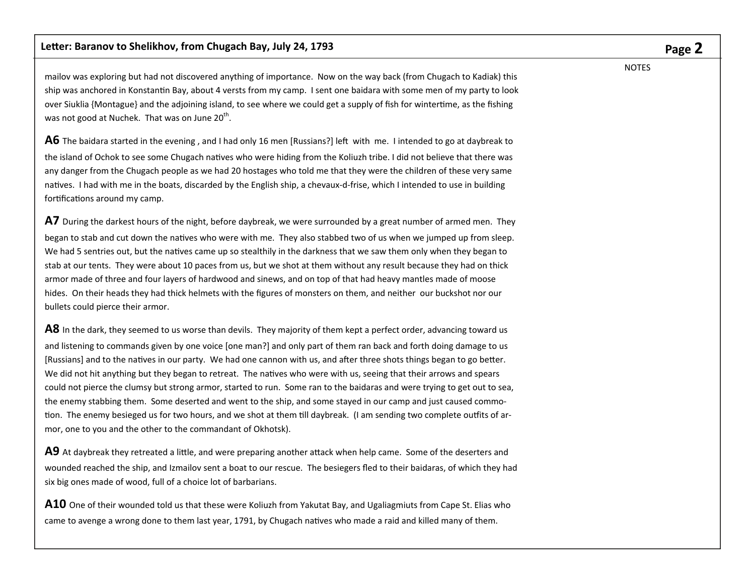mailov was exploring but had not discovered anything of importance. Now on the way back (from Chugach to Kadiak) this ship was anchored in Konstantin Bay, about 4 versts from my camp. I sent one baidara with some men of my party to look over Siuklia {Montague} and the adjoining island, to see where we could get a supply of fish for wintertime, as the fishing was not good at Nuchek. That was on June  $20<sup>th</sup>$ .

A6 The baidara started in the evening, and I had only 16 men [Russians?] left with me. I intended to go at daybreak to the island of Ochok to see some Chugach natives who were hiding from the Koliuzh tribe. I did not believe that there was any danger from the Chugach people as we had 20 hostages who told me that they were the children of these very same natives. I had with me in the boats, discarded by the English ship, a chevaux-d-frise, which I intended to use in building fortifications around my camp.

**A7** During the darkest hours of the night, before daybreak, we were surrounded by a great number of armed men. They began to stab and cut down the natives who were with me. They also stabbed two of us when we jumped up from sleep. We had 5 sentries out, but the natives came up so stealthily in the darkness that we saw them only when they began to stab at our tents. They were about 10 paces from us, but we shot at them without any result because they had on thick armor made of three and four layers of hardwood and sinews, and on top of that had heavy mantles made of moose hides. On their heads they had thick helmets with the figures of monsters on them, and neither our buckshot nor our bullets could pierce their armor.

**A8** In the dark, they seemed to us worse than devils. They majority of them kept a perfect order, advancing toward us and listening to commands given by one voice [one man?] and only part of them ran back and forth doing damage to us [Russians] and to the natives in our party. We had one cannon with us, and after three shots things began to go better. We did not hit anything but they began to retreat. The natives who were with us, seeing that their arrows and spears could not pierce the clumsy but strong armor, started to run. Some ran to the baidaras and were trying to get out to sea, the enemy stabbing them. Some deserted and went to the ship, and some stayed in our camp and just caused commotion. The enemy besieged us for two hours, and we shot at them till daybreak. (I am sending two complete outfits of armor, one to you and the other to the commandant of Okhotsk).

**A9** At daybreak they retreated a little, and were preparing another attack when help came. Some of the deserters and wounded reached the ship, and Izmailov sent a boat to our rescue. The besiegers fled to their baidaras, of which they had six big ones made of wood, full of a choice lot of barbarians.

**A10** One of their wounded told us that these were Koliuzh from Yakutat Bay, and Ugaliagmiuts from Cape St. Elias who came to avenge a wrong done to them last year, 1791, by Chugach natives who made a raid and killed many of them.

# **Page 2**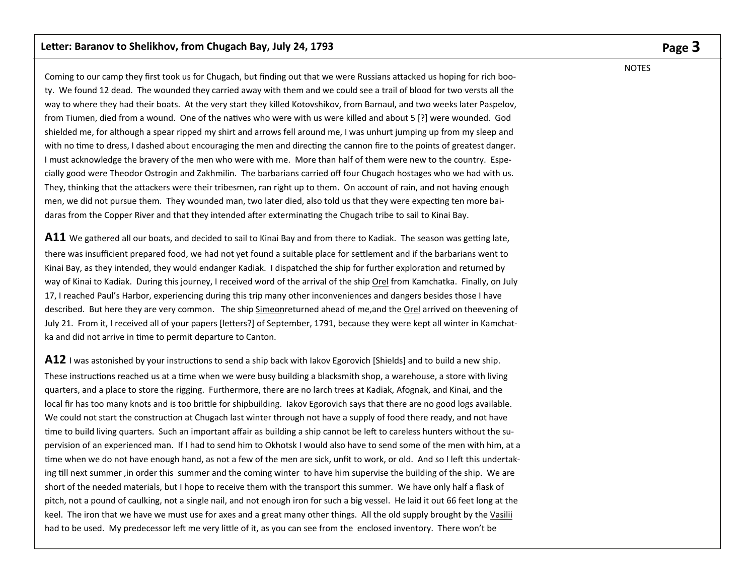Coming to our camp they first took us for Chugach, but finding out that we were Russians attacked us hoping for rich booty. We found 12 dead. The wounded they carried away with them and we could see a trail of blood for two versts all the way to where they had their boats. At the very start they killed Kotovshikov, from Barnaul, and two weeks later Paspelov, from Tiumen, died from a wound. One of the natives who were with us were killed and about 5 [?] were wounded. God shielded me, for although a spear ripped my shirt and arrows fell around me, I was unhurt jumping up from my sleep and with no time to dress, I dashed about encouraging the men and directing the cannon fire to the points of greatest danger. I must acknowledge the bravery of the men who were with me. More than half of them were new to the country. Especially good were Theodor Ostrogin and Zakhmilin. The barbarians carried off four Chugach hostages who we had with us. They, thinking that the attackers were their tribesmen, ran right up to them. On account of rain, and not having enough men, we did not pursue them. They wounded man, two later died, also told us that they were expecting ten more baidaras from the Copper River and that they intended after exterminating the Chugach tribe to sail to Kinai Bay.

A11 We gathered all our boats, and decided to sail to Kinai Bay and from there to Kadiak. The season was getting late, there was insufficient prepared food, we had not yet found a suitable place for settlement and if the barbarians went to Kinai Bay, as they intended, they would endanger Kadiak. I dispatched the ship for further exploration and returned by way of Kinai to Kadiak. During this journey, I received word of the arrival of the ship Orel from Kamchatka. Finally, on July 17, I reached Paul's Harbor, experiencing during this trip many other inconveniences and dangers besides those I have described. But here they are very common. The ship Simeonreturned ahead of me,and the Orel arrived on theevening of July 21. From it, I received all of your papers [letters?] of September, 1791, because they were kept all winter in Kamchatka and did not arrive in time to permit departure to Canton.

A12 I was astonished by your instructions to send a ship back with Iakov Egorovich [Shields] and to build a new ship. These instructions reached us at a time when we were busy building a blacksmith shop, a warehouse, a store with living quarters, and a place to store the rigging. Furthermore, there are no larch trees at Kadiak, Afognak, and Kinai, and the local fir has too many knots and is too brittle for shipbuilding. Iakov Egorovich says that there are no good logs available. We could not start the construction at Chugach last winter through not have a supply of food there ready, and not have time to build living quarters. Such an important affair as building a ship cannot be left to careless hunters without the supervision of an experienced man. If I had to send him to Okhotsk I would also have to send some of the men with him, at a time when we do not have enough hand, as not a few of the men are sick, unfit to work, or old. And so I left this undertaking till next summer , in order this summer and the coming winter to have him supervise the building of the ship. We are short of the needed materials, but I hope to receive them with the transport this summer. We have only half a flask of pitch, not a pound of caulking, not a single nail, and not enough iron for such a big vessel. He laid it out 66 feet long at the keel. The iron that we have we must use for axes and a great many other things. All the old supply brought by the Vasilii had to be used. My predecessor left me very little of it, as you can see from the enclosed inventory. There won't be

# **Page 3**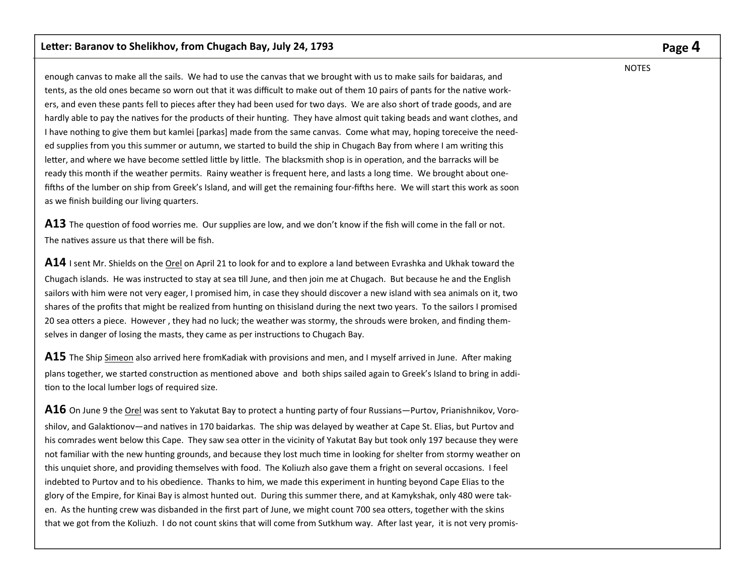enough canvas to make all the sails. We had to use the canvas that we brought with us to make sails for baidaras, and tents, as the old ones became so worn out that it was difficult to make out of them 10 pairs of pants for the native workers, and even these pants fell to pieces after they had been used for two days. We are also short of trade goods, and are hardly able to pay the natives for the products of their hunting. They have almost quit taking beads and want clothes, and I have nothing to give them but kamlei [parkas] made from the same canvas. Come what may, hoping toreceive the needed supplies from you this summer or autumn, we started to build the ship in Chugach Bay from where I am writing this letter, and where we have become settled little by little. The blacksmith shop is in operation, and the barracks will be ready this month if the weather permits. Rainy weather is frequent here, and lasts a long time. We brought about onefifths of the lumber on ship from Greek's Island, and will get the remaining four-fifths here. We will start this work as soon as we finish building our living quarters.

**A13** The question of food worries me. Our supplies are low, and we don't know if the fish will come in the fall or not. The natives assure us that there will be fish.

**A14** I sent Mr. Shields on the Orel on April 21 to look for and to explore a land between Evrashka and Ukhak toward the Chugach islands. He was instructed to stay at sea Ɵll June, and then join me at Chugach. But because he and the English sailors with him were not very eager, I promised him, in case they should discover a new island with sea animals on it, two shares of the profits that might be realized from hunting on thisisland during the next two years. To the sailors I promised 20 sea otters a piece. However, they had no luck; the weather was stormy, the shrouds were broken, and finding themselves in danger of losing the masts, they came as per instructions to Chugach Bay.

A15 The Ship Simeon also arrived here fromKadiak with provisions and men, and I myself arrived in June. After making plans together, we started construction as mentioned above and both ships sailed again to Greek's Island to bring in addition to the local lumber logs of required size.

**A16** On June 9 the Orel was sent to Yakutat Bay to protect a hunting party of four Russians—Purtov, Prianishnikov, Voroshilov, and Galaktionov—and natives in 170 baidarkas. The ship was delayed by weather at Cape St. Elias, but Purtov and his comrades went below this Cape. They saw sea otter in the vicinity of Yakutat Bay but took only 197 because they were not familiar with the new hunting grounds, and because they lost much time in looking for shelter from stormy weather on this unquiet shore, and providing themselves with food. The Koliuzh also gave them a fright on several occasions. I feel indebted to Purtov and to his obedience. Thanks to him, we made this experiment in hunting beyond Cape Elias to the glory of the Empire, for Kinai Bay is almost hunted out. During this summer there, and at Kamykshak, only 480 were taken. As the hunting crew was disbanded in the first part of June, we might count 700 sea otters, together with the skins that we got from the Koliuzh. I do not count skins that will come from Sutkhum way. After last year, it is not very promis-

# **Page 4**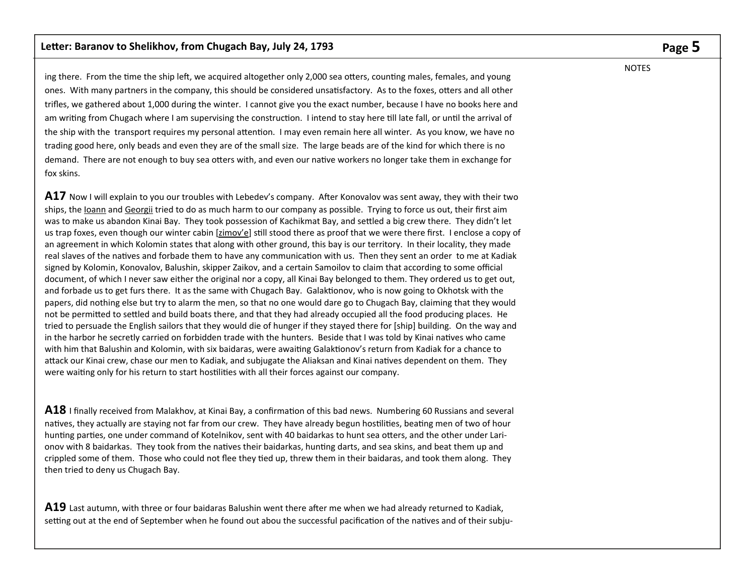ing there. From the time the ship left, we acquired altogether only 2,000 sea otters, counting males, females, and young ones. With many partners in the company, this should be considered unsatisfactory. As to the foxes, otters and all other trifles, we gathered about 1,000 during the winter. I cannot give you the exact number, because I have no books here and am writing from Chugach where I am supervising the construction. I intend to stay here till late fall, or until the arrival of the ship with the transport requires my personal attention. I may even remain here all winter. As you know, we have no trading good here, only beads and even they are of the small size. The large beads are of the kind for which there is no demand. There are not enough to buy sea otters with, and even our native workers no longer take them in exchange for fox skins.

**A17** Now I will explain to you our troubles with Lebedev's company. After Konovalov was sent away, they with their two ships, the Ioann and Georgii tried to do as much harm to our company as possible. Trying to force us out, their first aim was to make us abandon Kinai Bay. They took possession of Kachikmat Bay, and settled a big crew there. They didn't let us trap foxes, even though our winter cabin [zimov'e] still stood there as proof that we were there first. I enclose a copy of an agreement in which Kolomin states that along with other ground, this bay is our territory. In their locality, they made real slaves of the natives and forbade them to have any communication with us. Then they sent an order to me at Kadiak signed by Kolomin, Konovalov, Balushin, skipper Zaikov, and a certain Samoilov to claim that according to some official document, of which I never saw either the original nor a copy, all Kinai Bay belonged to them. They ordered us to get out, and forbade us to get furs there. It as the same with Chugach Bay. Galaktionov, who is now going to Okhotsk with the papers, did nothing else but try to alarm the men, so that no one would dare go to Chugach Bay, claiming that they would not be permitted to settled and build boats there, and that they had already occupied all the food producing places. He tried to persuade the English sailors that they would die of hunger if they stayed there for [ship] building. On the way and in the harbor he secretly carried on forbidden trade with the hunters. Beside that I was told by Kinai natives who came with him that Balushin and Kolomin, with six baidaras, were awaiting Galaktionov's return from Kadiak for a chance to attack our Kinai crew, chase our men to Kadiak, and subjugate the Aliaksan and Kinai natives dependent on them. They were waiting only for his return to start hostilities with all their forces against our company.

**A18** I finally received from Malakhov, at Kinai Bay, a confirmation of this bad news. Numbering 60 Russians and several natives, they actually are staying not far from our crew. They have already begun hostilities, beating men of two of hour hunting parties, one under command of Kotelnikov, sent with 40 baidarkas to hunt sea otters, and the other under Larionov with 8 baidarkas. They took from the natives their baidarkas, hunting darts, and sea skins, and beat them up and crippled some of them. Those who could not flee they tied up, threw them in their baidaras, and took them along. They then tried to deny us Chugach Bay.

A19 Last autumn, with three or four baidaras Balushin went there after me when we had already returned to Kadiak, setting out at the end of September when he found out abou the successful pacification of the natives and of their subju-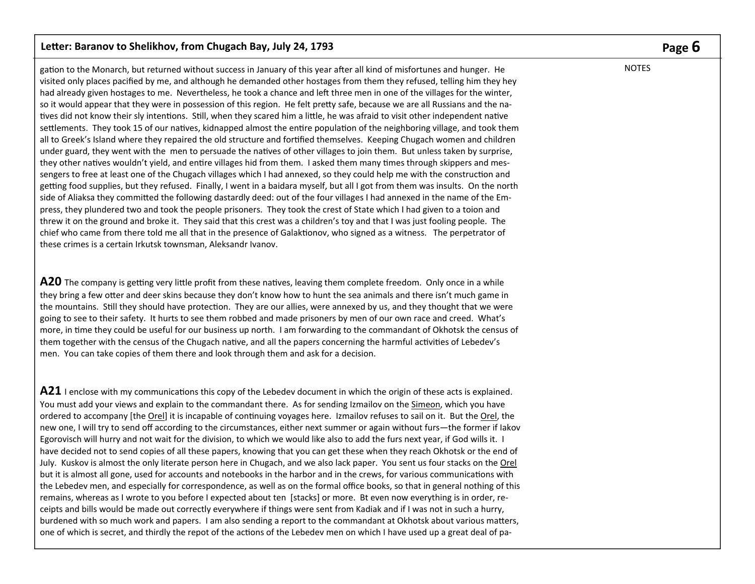gation to the Monarch, but returned without success in January of this year after all kind of misfortunes and hunger. He visited only places pacified by me, and although he demanded other hostages from them they refused, telling him they hey had already given hostages to me. Nevertheless, he took a chance and left three men in one of the villages for the winter, so it would appear that they were in possession of this region. He felt pretty safe, because we are all Russians and the natives did not know their sly intentions. Still, when they scared him a little, he was afraid to visit other independent native settlements. They took 15 of our natives, kidnapped almost the entire population of the neighboring village, and took them all to Greek's Island where they repaired the old structure and fortified themselves. Keeping Chugach women and children under guard, they went with the men to persuade the natives of other villages to join them. But unless taken by surprise, they other natives wouldn't yield, and entire villages hid from them. I asked them many times through skippers and messengers to free at least one of the Chugach villages which I had annexed, so they could help me with the construction and getting food supplies, but they refused. Finally, I went in a baidara myself, but all I got from them was insults. On the north side of Aliaksa they committed the following dastardly deed: out of the four villages I had annexed in the name of the Empress, they plundered two and took the people prisoners. They took the crest of State which I had given to a toion and threw it on the ground and broke it. They said that this crest was a children's toy and that I was just fooling people. The chief who came from there told me all that in the presence of Galaktionov, who signed as a witness. The perpetrator of these crimes is a certain Irkutsk townsman, Aleksandr Ivanov.

**A20** The company is getting very little profit from these natives, leaving them complete freedom. Only once in a while they bring a few otter and deer skins because they don't know how to hunt the sea animals and there isn't much game in the mountains. Still they should have protection. They are our allies, were annexed by us, and they thought that we were going to see to their safety. It hurts to see them robbed and made prisoners by men of our own race and creed. What's more, in time they could be useful for our business up north. I am forwarding to the commandant of Okhotsk the census of them together with the census of the Chugach native, and all the papers concerning the harmful activities of Lebedev's men. You can take copies of them there and look through them and ask for a decision.

**A21** I enclose with my communications this copy of the Lebedev document in which the origin of these acts is explained. You must add your views and explain to the commandant there. As for sending Izmailov on the Simeon, which you have ordered to accompany [the Orel] it is incapable of continuing voyages here. Izmailov refuses to sail on it. But the Orel, the new one, I will try to send off according to the circumstances, either next summer or again without furs—the former if Iakov Egorovisch will hurry and not wait for the division, to which we would like also to add the furs next year, if God wills it. I have decided not to send copies of all these papers, knowing that you can get these when they reach Okhotsk or the end of July. Kuskov is almost the only literate person here in Chugach, and we also lack paper. You sent us four stacks on the Orel but it is almost all gone, used for accounts and notebooks in the harbor and in the crews, for various communications with the Lebedev men, and especially for correspondence, as well as on the formal office books, so that in general nothing of this remains, whereas as I wrote to you before I expected about ten [stacks] or more. Bt even now everything is in order, receipts and bills would be made out correctly everywhere if things were sent from Kadiak and if I was not in such a hurry, burdened with so much work and papers. I am also sending a report to the commandant at Okhotsk about various matters, one of which is secret, and thirdly the repot of the actions of the Lebedev men on which I have used up a great deal of pa-

# **Page 6**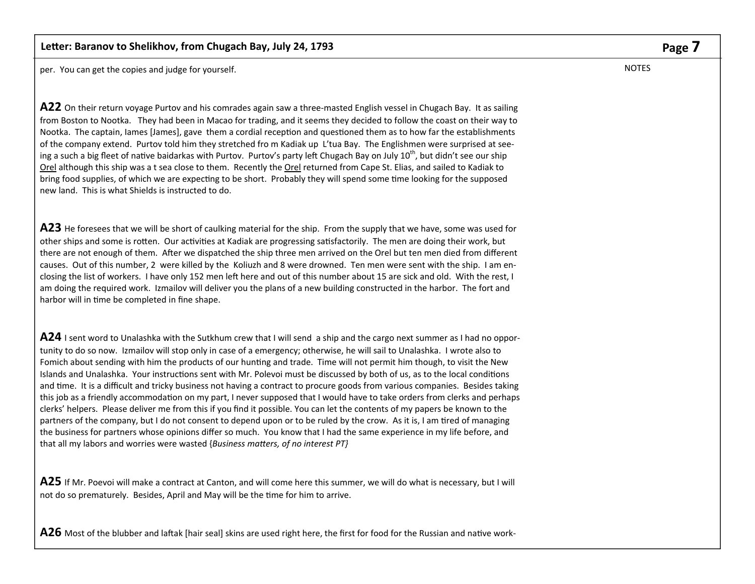per. You can get the copies and judge for yourself.

**A22** On their return voyage Purtov and his comrades again saw a three-masted English vessel in Chugach Bay. It as sailing from Boston to Nootka. They had been in Macao for trading, and it seems they decided to follow the coast on their way to Nootka. The captain, lames [James], gave them a cordial reception and questioned them as to how far the establishments of the company extend. Purtov told him they stretched fro m Kadiak up L'tua Bay. The Englishmen were surprised at seeing a such a big fleet of native baidarkas with Purtov. Purtov's party left Chugach Bay on July  $10^{th}$ , but didn't see our ship Orel although this ship was a t sea close to them. Recently the Orel returned from Cape St. Elias, and sailed to Kadiak to bring food supplies, of which we are expecting to be short. Probably they will spend some time looking for the supposed new land. This is what Shields is instructed to do.

**A23** He foresees that we will be short of caulking material for the ship. From the supply that we have, some was used for other ships and some is rotten. Our activities at Kadiak are progressing satisfactorily. The men are doing their work, but there are not enough of them. After we dispatched the ship three men arrived on the Orel but ten men died from different causes. Out of this number, 2 were killed by the Koliuzh and 8 were drowned. Ten men were sent with the ship. I am enclosing the list of workers. I have only 152 men left here and out of this number about 15 are sick and old. With the rest, I am doing the required work. Izmailov will deliver you the plans of a new building constructed in the harbor. The fort and harbor will in time be completed in fine shape.

**A24** I sent word to Unalashka with the Sutkhum crew that I will send a ship and the cargo next summer as I had no opportunity to do so now. Izmailov will stop only in case of a emergency; otherwise, he will sail to Unalashka. I wrote also to Fomich about sending with him the products of our hunting and trade. Time will not permit him though, to visit the New Islands and Unalashka. Your instructions sent with Mr. Polevoi must be discussed by both of us, as to the local conditions and time. It is a difficult and tricky business not having a contract to procure goods from various companies. Besides taking this job as a friendly accommodation on my part, I never supposed that I would have to take orders from clerks and perhaps clerks' helpers. Please deliver me from this if you find it possible. You can let the contents of my papers be known to the partners of the company, but I do not consent to depend upon or to be ruled by the crow. As it is, I am tired of managing the business for partners whose opinions differ so much. You know that I had the same experience in my life before, and that all my labors and worries were wasted {*Business maƩers, of no interest PT}*

**A25** If Mr. Poevoi will make a contract at Canton, and will come here this summer, we will do what is necessary, but I will not do so prematurely. Besides, April and May will be the time for him to arrive.

A26 Most of the blubber and laftak [hair seal] skins are used right here, the first for food for the Russian and native work-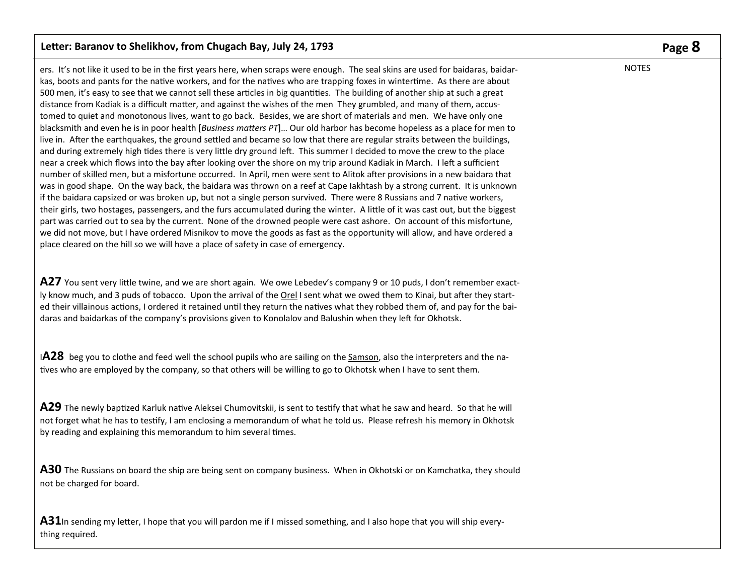ers. It's not like it used to be in the first years here, when scraps were enough. The seal skins are used for baidaras, baidarkas, boots and pants for the native workers, and for the natives who are trapping foxes in wintertime. As there are about 500 men, it's easy to see that we cannot sell these articles in big quantities. The building of another ship at such a great distance from Kadiak is a difficult matter, and against the wishes of the men They grumbled, and many of them, accustomed to quiet and monotonous lives, want to go back. Besides, we are short of materials and men. We have only one blacksmith and even he is in poor health [*Business maƩers PT*]… Our old harbor has become hopeless as a place for men to live in. After the earthquakes, the ground settled and became so low that there are regular straits between the buildings, and during extremely high tides there is very little dry ground left. This summer I decided to move the crew to the place near a creek which flows into the bay after looking over the shore on my trip around Kadiak in March. I left a sufficient number of skilled men, but a misfortune occurred. In April, men were sent to Alitok after provisions in a new baidara that was in good shape. On the way back, the baidara was thrown on a reef at Cape Iakhtash by a strong current. It is unknown if the baidara capsized or was broken up, but not a single person survived. There were 8 Russians and 7 native workers, their girls, two hostages, passengers, and the furs accumulated during the winter. A little of it was cast out, but the biggest part was carried out to sea by the current. None of the drowned people were cast ashore. On account of this misfortune, we did not move, but I have ordered Misnikov to move the goods as fast as the opportunity will allow, and have ordered a place cleared on the hill so we will have a place of safety in case of emergency.

A27 You sent very little twine, and we are short again. We owe Lebedev's company 9 or 10 puds, I don't remember exactly know much, and 3 puds of tobacco. Upon the arrival of the Orel I sent what we owed them to Kinai, but after they started their villainous actions, I ordered it retained until they return the natives what they robbed them of, and pay for the baidaras and baidarkas of the company's provisions given to Konolalov and Balushin when they left for Okhotsk.

I**A28** beg you to clothe and feed well the school pupils who are sailing on the Samson, also the interpreters and the natives who are employed by the company, so that others will be willing to go to Okhotsk when I have to sent them.

**A29** The newly baptized Karluk native Aleksei Chumovitskii, is sent to testify that what he saw and heard. So that he will not forget what he has to testify, I am enclosing a memorandum of what he told us. Please refresh his memory in Okhotsk by reading and explaining this memorandum to him several times.

**A30** The Russians on board the ship are being sent on company business. When in Okhotski or on Kamchatka, they should not be charged for board.

**A31**In sending my letter, I hope that you will pardon me if I missed something, and I also hope that you will ship everything required.

# **Page 8**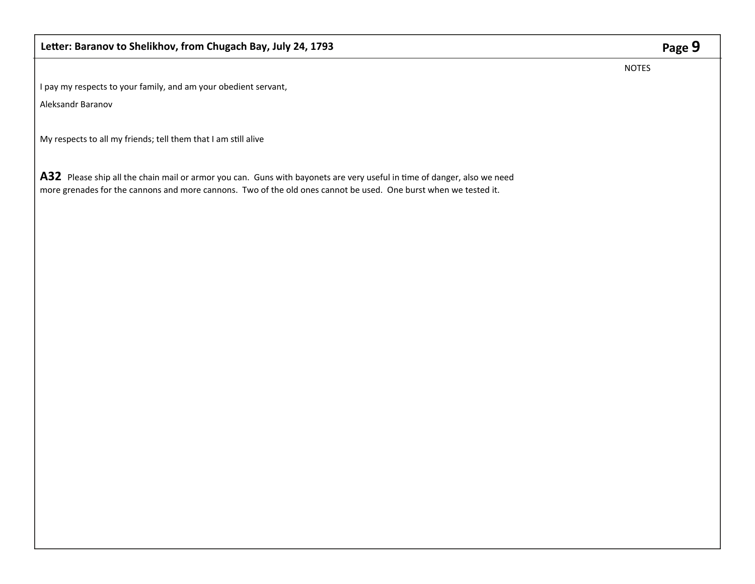NOTES

I pay my respects to your family, and am your obedient servant,

Aleksandr Baranov

My respects to all my friends; tell them that I am still alive

A32 Please ship all the chain mail or armor you can. Guns with bayonets are very useful in time of danger, also we need more grenades for the cannons and more cannons. Two of the old ones cannot be used. One burst when we tested it.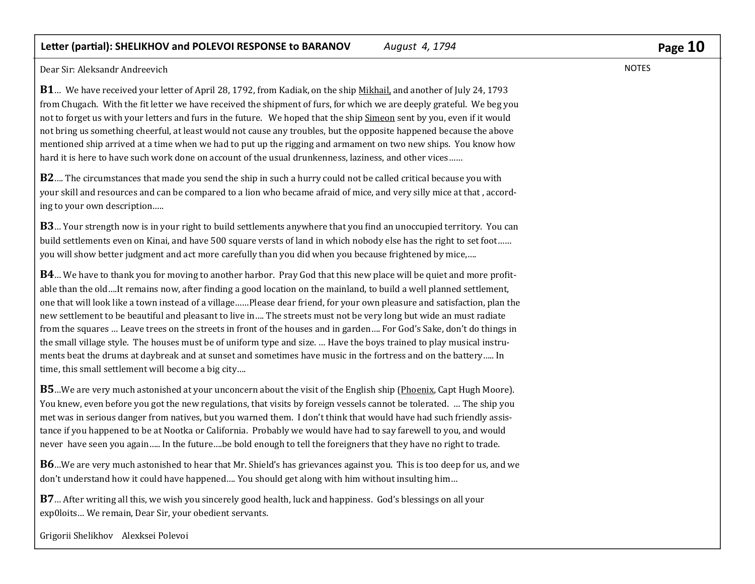Dear Sir: Aleksandr Andreevich 

**B1** … We have received your letter of April 28, 1792, from Kadiak, on the ship Mikhail, and another of July 24, 1793 from Chugach. With the fit letter we have received the shipment of furs, for which we are deeply grateful. We beg you not to forget us with your letters and furs in the future. We hoped that the ship Simeon sent by you, even if it would not bring us something cheerful, at least would not cause any troubles, but the opposite happened because the above mentioned ship arrived at a time when we had to put up the rigging and armament on two new ships. You know how hard it is here to have such work done on account of the usual drunkenness, laziness, and other vices......

**B2** .... The circumstances that made you send the ship in such a hurry could not be called critical because you with your skill and resources and can be compared to a lion who became afraid of mice, and very silly mice at that, according to your own description.....

**B3** … Your strength now is in your right to build settlements anywhere that you find an unoccupied territory. You can build settlements even on Kinai, and have 500 square versts of land in which nobody else has the right to set foot…… you will show better judgment and act more carefully than you did when you because frightened by mice,....

**B4** … We have to thank you for moving to another harbor. Pray God that this new place will be quiet and more profitable than the old....It remains now, after finding a good location on the mainland, to build a well planned settlement, one that will look like a town instead of a village……Please dear friend, for your own pleasure and satisfaction, plan the new settlement to be beautiful and pleasant to live in.... The streets must not be very long but wide an must radiate from the squares ... Leave trees on the streets in front of the houses and in garden.... For God's Sake, don't do things in the small village style. The houses must be of uniform type and size. ... Have the boys trained to play musical instruments beat the drums at daybreak and at sunset and sometimes have music in the fortress and on the battery..... In time, this small settlement will become a big city....

**B5** …We are very much astonished at your unconcern about the visit of the English ship (Phoenix, Capt Hugh Moore). You knew, even before you got the new regulations, that visits by foreign vessels cannot be tolerated. ... The ship you met was in serious danger from natives, but you warned them. I don't think that would have had such friendly assistance if you happened to be at Nootka or California. Probably we would have had to say farewell to you, and would never have seen you again..... In the future....be bold enough to tell the foreigners that they have no right to trade.

**B6** ...We are very much astonished to hear that Mr. Shield's has grievances against you. This is too deep for us, and we don't understand how it could have happened.... You should get along with him without insulting him...

**B7** ... After writing all this, we wish you sincerely good health, luck and happiness. God's blessings on all your exp0loits... We remain, Dear Sir, your obedient servants.

Grigorii Shelikhov Alexksei Polevoi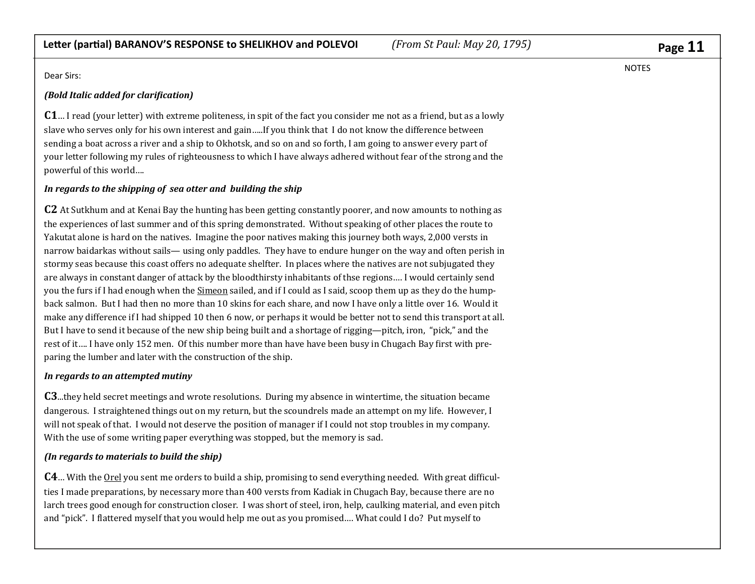Dear Sirs:

### *(Bold Italic added for clariϔication)*

**C1**… I read (your letter) with extreme politeness, in spit of the fact you consider me not as a friend, but as a lowly slave who serves only for his own interest and gain.....If you think that I do not know the difference between sending a boat across a river and a ship to Okhotsk, and so on and so forth, I am going to answer every part of your letter following my rules of righteousness to which I have always adhered without fear of the strong and the powerful of this world....

## *In regards to the shipping of sea otter and building the ship*

 ${\bf C2}$  At Sutkhum and at Kenai Bay the hunting has been getting constantly poorer, and now amounts to nothing as the experiences of last summer and of this spring demonstrated. Without speaking of other places the route to Yakutat alone is hard on the natives. Imagine the poor natives making this journey both ways, 2,000 versts in narrow baidarkas without sails— using only paddles. They have to endure hunger on the way and often perish in stormy seas because this coast offers no adequate shelfter. In places where the natives are not subjugated they are always in constant danger of attack by the bloodthirsty inhabitants of thse regions.... I would certainly send you the furs if I had enough when the Simeon sailed, and if I could as I said, scoop them up as they do the humpback salmon. But I had then no more than 10 skins for each share, and now I have only a little over 16. Would it make any difference if I had shipped 10 then 6 now, or perhaps it would be better not to send this transport at all. But I have to send it because of the new ship being built and a shortage of rigging—pitch, iron, "pick," and the rest of it.... I have only 152 men. Of this number more than have have been busy in Chugach Bay first with preparing the lumber and later with the construction of the ship.

#### *In regards to an attempted mutiny*

**C3**...they held secret meetings and wrote resolutions. During my absence in wintertime, the situation became dangerous. I straightened things out on my return, but the scoundrels made an attempt on my life. However, I will not speak of that. I would not deserve the position of manager if I could not stop troubles in my company. With the use of some writing paper everything was stopped, but the memory is sad.

## *(In regards to materials to build the ship)*

**C4** ... With the <u>Orel</u> you sent me orders to build a ship, promising to send everything needed. With great difficulties I made preparations, by necessary more than 400 versts from Kadiak in Chugach Bay, because there are no larch trees good enough for construction closer. I was short of steel, iron, help, caulking material, and even pitch and "pick". I flattered myself that you would help me out as you promised.... What could I do? Put myself to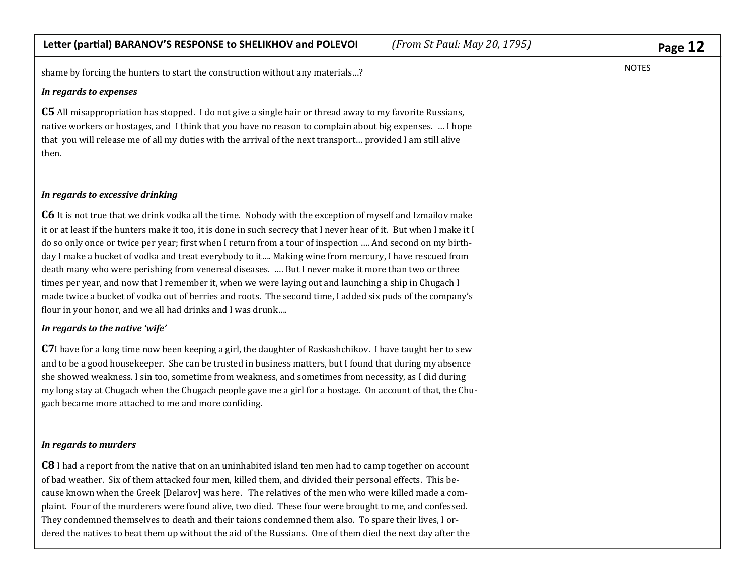shame by forcing the hunters to start the construction without any materials...?

#### *In regards to expenses*

 $\mathbf C\mathbf 5$  All misappropriation has stopped. I do not give a single hair or thread away to my favorite Russians, native workers or hostages, and I think that you have no reason to complain about big expenses. ... I hope that you will release me of all my duties with the arrival of the next transport... provided I am still alive then. 

#### *In regards to excessive drinking*

 ${\mathbb C}6$  It is not true that we drink vodka all the time. Nobody with the exception of myself and Izmailov make it or at least if the hunters make it too, it is done in such secrecy that I never hear of it. But when I make it I do so only once or twice per year; first when I return from a tour of inspection .... And second on my birthday I make a bucket of vodka and treat everybody to it.... Making wine from mercury, I have rescued from death many who were perishing from venereal diseases. .... But I never make it more than two or three times per year, and now that I remember it, when we were laying out and launching a ship in Chugach I made twice a bucket of vodka out of berries and roots. The second time, I added six puds of the company's flour in your honor, and we all had drinks and I was drunk....

#### *In regards to the native 'wife'*

**C7**I have for a long time now been keeping a girl, the daughter of Raskashchikov. I have taught her to sew and to be a good housekeeper. She can be trusted in business matters, but I found that during my absence she showed weakness. I sin too, sometime from weakness, and sometimes from necessity, as I did during my long stay at Chugach when the Chugach people gave me a girl for a hostage. On account of that, the Chugach became more attached to me and more confiding.

#### *In regards to murders*

 ${\bf C8}$  I had a report from the native that on an uninhabited island ten men had to camp together on account of bad weather. Six of them attacked four men, killed them, and divided their personal effects. This because known when the Greek [Delarov] was here. The relatives of the men who were killed made a complaint. Four of the murderers were found alive, two died. These four were brought to me, and confessed. They condemned themselves to death and their taions condemned them also. To spare their lives, I ordered the natives to beat them up without the aid of the Russians. One of them died the next day after the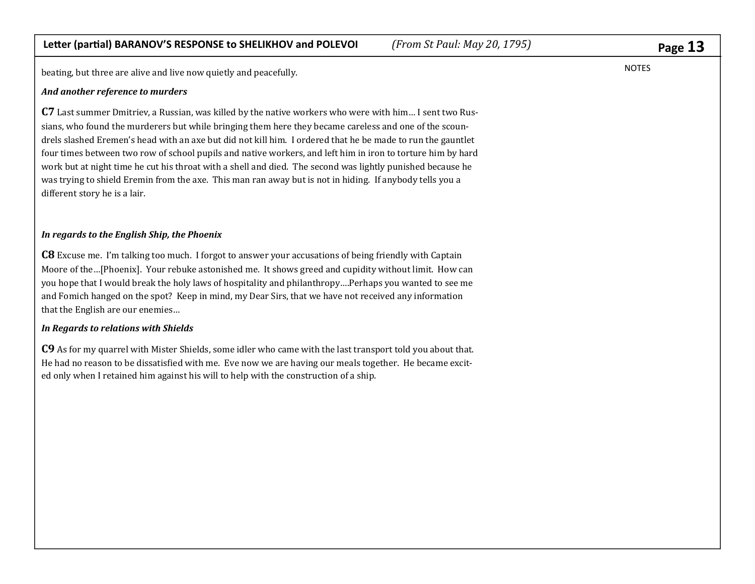beating, but three are alive and live now quietly and peacefully.

#### *And another reference to murders*

 ${\sf C7}$  Last summer Dmitriev, a Russian, was killed by the native workers who were with him… I sent two Russians, who found the murderers but while bringing them here they became careless and one of the scoundrels slashed Eremen's head with an axe but did not kill him. I ordered that he be made to run the gauntlet four times between two row of school pupils and native workers, and left him in iron to torture him by hard work but at night time he cut his throat with a shell and died. The second was lightly punished because he was trying to shield Eremin from the axe. This man ran away but is not in hiding. If anybody tells you a different story he is a lair.

#### *In regards to the English Ship, the Phoenix*

**C8** Excuse me. I'm talking too much. I forgot to answer your accusations of being friendly with Captain Moore of the…[Phoenix]. Your rebuke astonished me. It shows greed and cupidity without limit. How can you hope that I would break the holy laws of hospitality and philanthropy....Perhaps you wanted to see me and Fomich hanged on the spot? Keep in mind, my Dear Sirs, that we have not received any information that the English are our enemies...

#### *In Regards to relations with Shields*

 ${\sf C9}$  As for my quarrel with Mister Shields, some idler who came with the last transport told you about that. He had no reason to be dissatisfied with me. Eve now we are having our meals together. He became excited only when I retained him against his will to help with the construction of a ship.